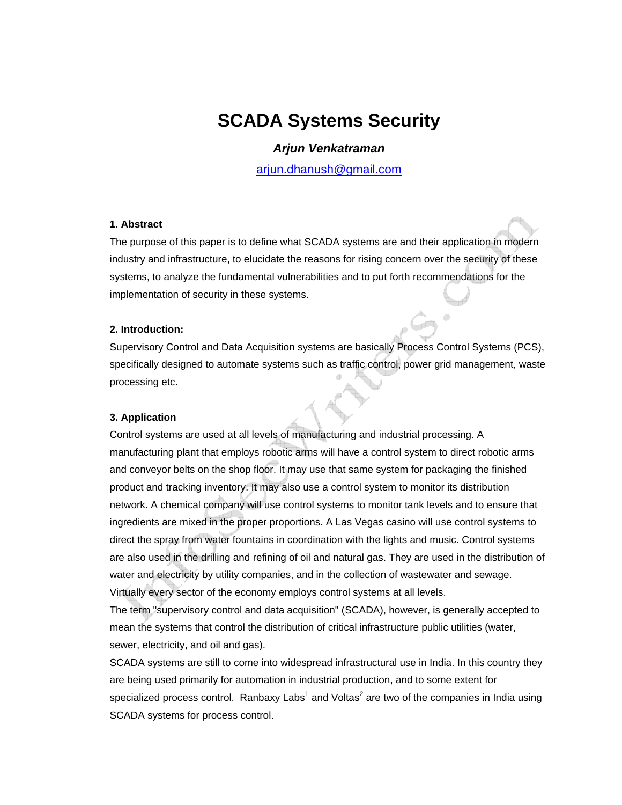# **SCADA Systems Security**

# *Arjun Venkatraman*

arjun.dhanush@gmail.com

### **1. Abstract**

The purpose of this paper is to define what SCADA systems are and their application in modern industry and infrastructure, to elucidate the reasons for rising concern over the security of these systems, to analyze the fundamental vulnerabilities and to put forth recommendations for the implementation of security in these systems.

### **2. Introduction:**

Supervisory Control and Data Acquisition systems are basically Process Control Systems (PCS), specifically designed to automate systems such as traffic control, power grid management, waste processing etc.

### **3. Application**

Control systems are used at all levels of manufacturing and industrial processing. A manufacturing plant that employs robotic arms will have a control system to direct robotic arms and conveyor belts on the shop floor. It may use that same system for packaging the finished product and tracking inventory. It may also use a control system to monitor its distribution network. A chemical company will use control systems to monitor tank levels and to ensure that ingredients are mixed in the proper proportions. A Las Vegas casino will use control systems to direct the spray from water fountains in coordination with the lights and music. Control systems are also used in the drilling and refining of oil and natural gas. They are used in the distribution of water and electricity by utility companies, and in the collection of wastewater and sewage. Virtually every sector of the economy employs control systems at all levels.

The term "supervisory control and data acquisition" (SCADA), however, is generally accepted to mean the systems that control the distribution of critical infrastructure public utilities (water, sewer, electricity, and oil and gas).

SCADA systems are still to come into widespread infrastructural use in India. In this country they are being used primarily for automation in industrial production, and to some extent for specialized process control. Ranbaxy Labs<sup>1</sup> and Voltas<sup>2</sup> are two of the companies in India using SCADA systems for process control.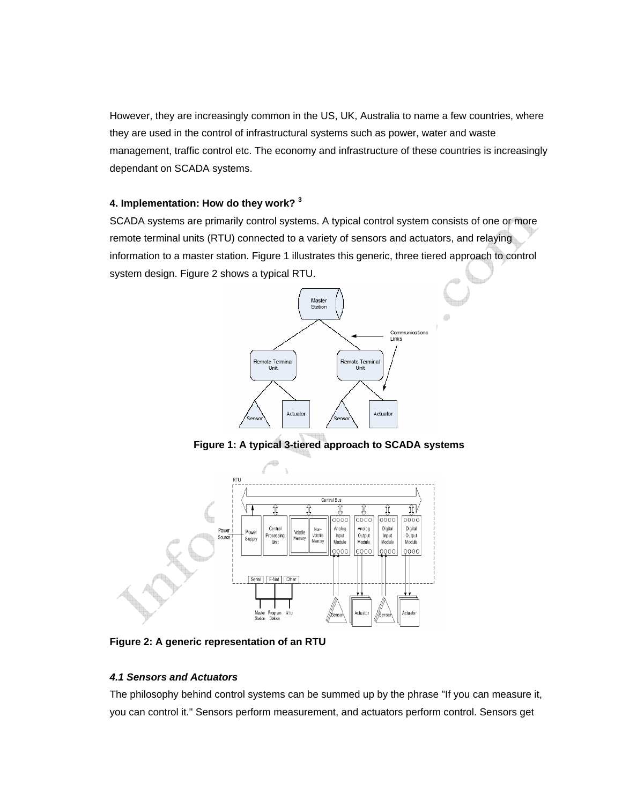However, they are increasingly common in the US, UK, Australia to name a few countries, where they are used in the control of infrastructural systems such as power, water and waste management, traffic control etc. The economy and infrastructure of these countries is increasingly dependant on SCADA systems.

# **4. Implementation: How do they work? 3**

SCADA systems are primarily control systems. A typical control system consists of one or more remote terminal units (RTU) connected to a variety of sensors and actuators, and relaying information to a master station. Figure 1 illustrates this generic, three tiered approach to control system design. Figure 2 shows a typical RTU.



**Figure 1: A typical 3-tiered approach to SCADA systems** 



**Figure 2: A generic representation of an RTU** 

# *4.1 Sensors and Actuators*

The philosophy behind control systems can be summed up by the phrase "If you can measure it, you can control it." Sensors perform measurement, and actuators perform control. Sensors get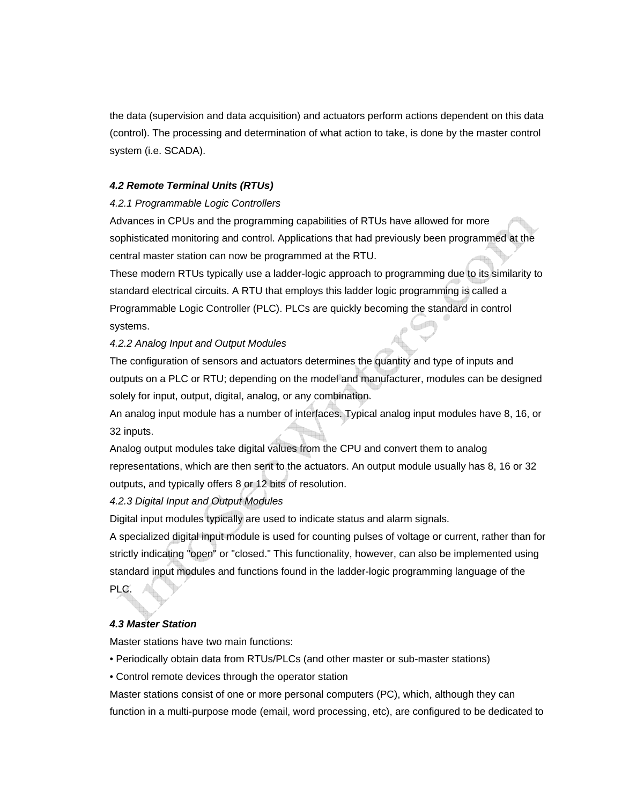the data (supervision and data acquisition) and actuators perform actions dependent on this data (control). The processing and determination of what action to take, is done by the master control system (i.e. SCADA).

# *4.2 Remote Terminal Units (RTUs)*

# *4.2.1 Programmable Logic Controllers*

Advances in CPUs and the programming capabilities of RTUs have allowed for more sophisticated monitoring and control. Applications that had previously been programmed at the central master station can now be programmed at the RTU.

These modern RTUs typically use a ladder-logic approach to programming due to its similarity to standard electrical circuits. A RTU that employs this ladder logic programming is called a Programmable Logic Controller (PLC). PLCs are quickly becoming the standard in control systems.

# *4.2.2 Analog Input and Output Modules*

The configuration of sensors and actuators determines the quantity and type of inputs and outputs on a PLC or RTU; depending on the model and manufacturer, modules can be designed solely for input, output, digital, analog, or any combination.

An analog input module has a number of interfaces. Typical analog input modules have 8, 16, or 32 inputs.

Analog output modules take digital values from the CPU and convert them to analog representations, which are then sent to the actuators. An output module usually has 8, 16 or 32 outputs, and typically offers 8 or 12 bits of resolution.

# *4.2.3 Digital Input and Output Modules*

Digital input modules typically are used to indicate status and alarm signals.

A specialized digital input module is used for counting pulses of voltage or current, rather than for strictly indicating "open" or "closed." This functionality, however, can also be implemented using standard input modules and functions found in the ladder-logic programming language of the PLC.

# *4.3 Master Station*

Master stations have two main functions:

- Periodically obtain data from RTUs/PLCs (and other master or sub-master stations)
- Control remote devices through the operator station

Master stations consist of one or more personal computers (PC), which, although they can function in a multi-purpose mode (email, word processing, etc), are configured to be dedicated to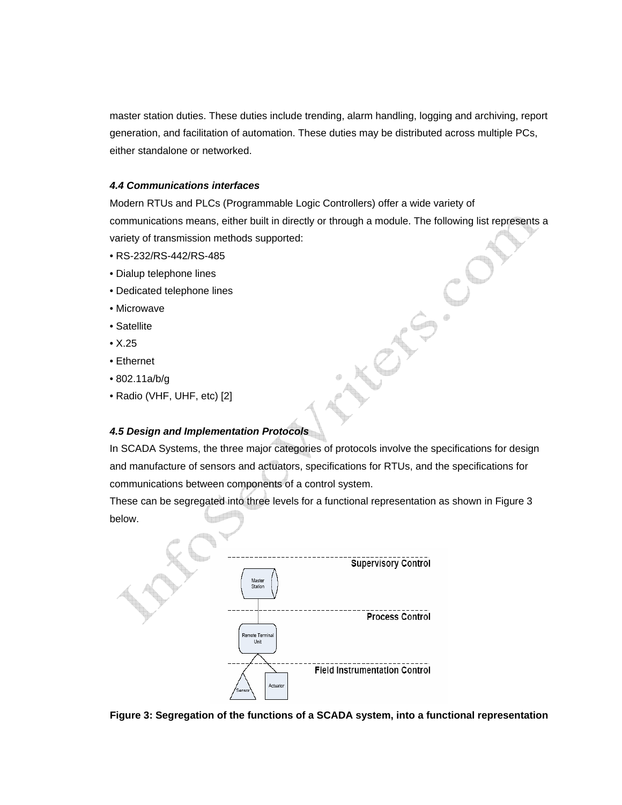master station duties. These duties include trending, alarm handling, logging and archiving, report generation, and facilitation of automation. These duties may be distributed across multiple PCs, either standalone or networked.

### *4.4 Communications interfaces*

Modern RTUs and PLCs (Programmable Logic Controllers) offer a wide variety of communications means, either built in directly or through a module. The following list represents a variety of transmission methods supported:

- RS-232/RS-442/RS-485
- Dialup telephone lines
- Dedicated telephone lines
- Microwave
- Satellite
- $\bullet$  X 25
- Ethernet
- 802.11a/b/g
- Radio (VHF, UHF, etc) [2]

# *4.5 Design and Implementation Protocols*

In SCADA Systems, the three major categories of protocols involve the specifications for design and manufacture of sensors and actuators, specifications for RTUs, and the specifications for communications between components of a control system.

These can be segregated into three levels for a functional representation as shown in Figure 3 below.



**Figure 3: Segregation of the functions of a SCADA system, into a functional representation**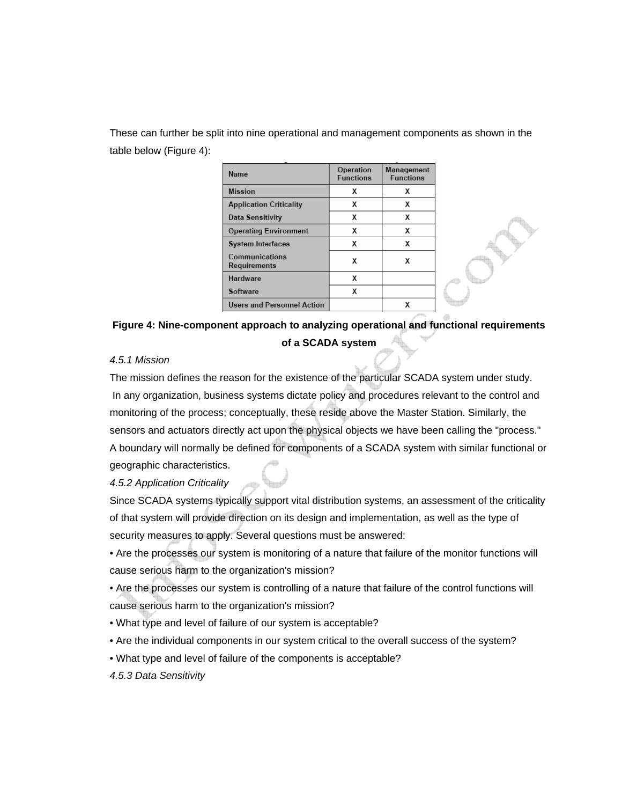These can further be split into nine operational and management components as shown in the table below (Figure 4):

| Name                              | Operation<br><b>Functions</b> | Management<br><b>Functions</b> |
|-----------------------------------|-------------------------------|--------------------------------|
| <b>Mission</b>                    | x                             | х                              |
| <b>Application Criticality</b>    | х                             | x                              |
| <b>Data Sensitivity</b>           | χ                             | x                              |
| <b>Operating Environment</b>      | x                             | х                              |
| <b>System Interfaces</b>          | x                             | x                              |
| Communications<br>Requirements    | x                             | x                              |
| Hardware                          | х                             |                                |
| Software                          | χ                             |                                |
| <b>Users and Personnel Action</b> |                               | x                              |

# **Figure 4: Nine-component approach to analyzing operational and functional requirements of a SCADA system**

# *4.5.1 Mission*

The mission defines the reason for the existence of the particular SCADA system under study. In any organization, business systems dictate policy and procedures relevant to the control and monitoring of the process; conceptually, these reside above the Master Station. Similarly, the sensors and actuators directly act upon the physical objects we have been calling the "process." A boundary will normally be defined for components of a SCADA system with similar functional or geographic characteristics.

*4.5.2 Application Criticality* 

Since SCADA systems typically support vital distribution systems, an assessment of the criticality of that system will provide direction on its design and implementation, as well as the type of security measures to apply. Several questions must be answered:

• Are the processes our system is monitoring of a nature that failure of the monitor functions will cause serious harm to the organization's mission?

• Are the processes our system is controlling of a nature that failure of the control functions will cause serious harm to the organization's mission?

- What type and level of failure of our system is acceptable?
- Are the individual components in our system critical to the overall success of the system?
- What type and level of failure of the components is acceptable?
- *4.5.3 Data Sensitivity*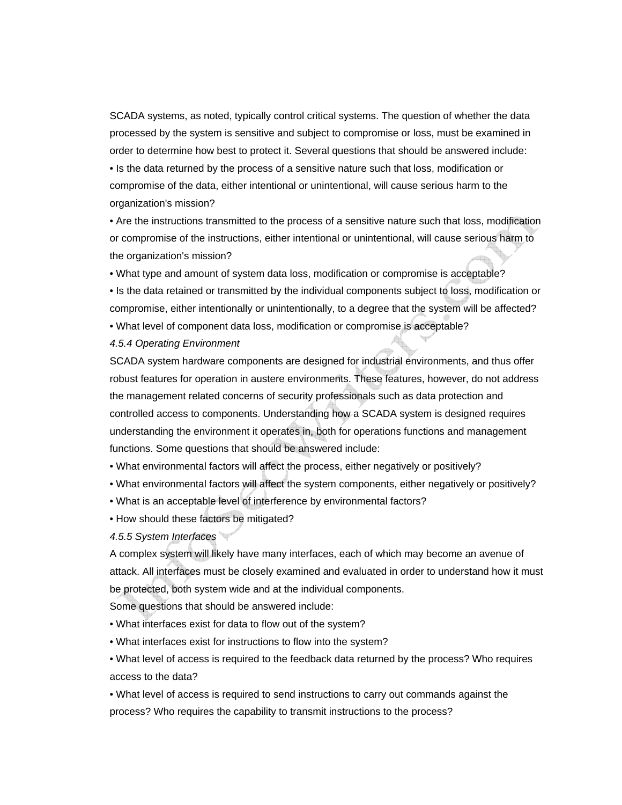SCADA systems, as noted, typically control critical systems. The question of whether the data processed by the system is sensitive and subject to compromise or loss, must be examined in order to determine how best to protect it. Several questions that should be answered include: • Is the data returned by the process of a sensitive nature such that loss, modification or compromise of the data, either intentional or unintentional, will cause serious harm to the organization's mission?

• Are the instructions transmitted to the process of a sensitive nature such that loss, modification or compromise of the instructions, either intentional or unintentional, will cause serious harm to the organization's mission?

• What type and amount of system data loss, modification or compromise is acceptable?

• Is the data retained or transmitted by the individual components subject to loss, modification or compromise, either intentionally or unintentionally, to a degree that the system will be affected?

• What level of component data loss, modification or compromise is acceptable?

*4.5.4 Operating Environment* 

SCADA system hardware components are designed for industrial environments, and thus offer robust features for operation in austere environments. These features, however, do not address the management related concerns of security professionals such as data protection and controlled access to components. Understanding how a SCADA system is designed requires understanding the environment it operates in, both for operations functions and management functions. Some questions that should be answered include:

• What environmental factors will affect the process, either negatively or positively?

• What environmental factors will affect the system components, either negatively or positively?

• What is an acceptable level of interference by environmental factors?

• How should these factors be mitigated?

*4.5.5 System Interfaces* 

A complex system will likely have many interfaces, each of which may become an avenue of attack. All interfaces must be closely examined and evaluated in order to understand how it must be protected, both system wide and at the individual components.

Some questions that should be answered include:

• What interfaces exist for data to flow out of the system?

• What interfaces exist for instructions to flow into the system?

• What level of access is required to the feedback data returned by the process? Who requires access to the data?

• What level of access is required to send instructions to carry out commands against the process? Who requires the capability to transmit instructions to the process?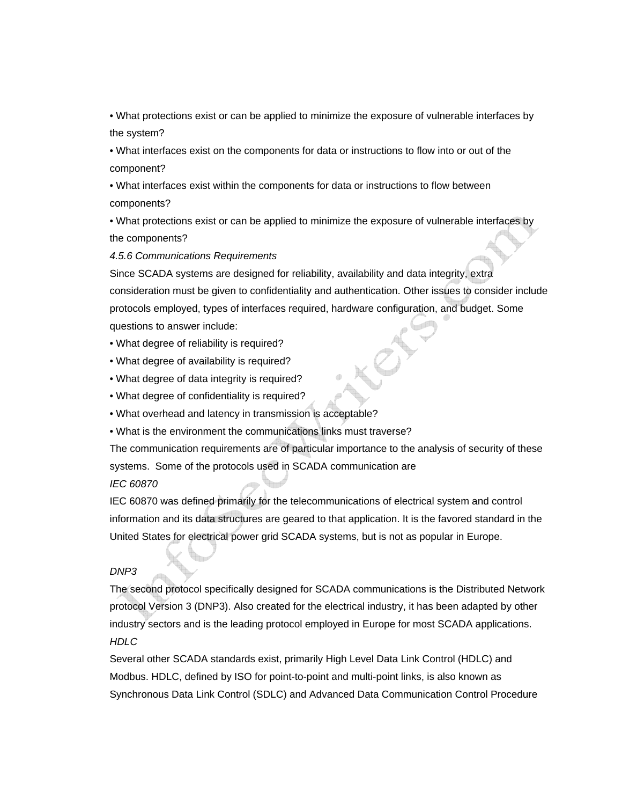• What protections exist or can be applied to minimize the exposure of vulnerable interfaces by the system?

• What interfaces exist on the components for data or instructions to flow into or out of the component?

• What interfaces exist within the components for data or instructions to flow between components?

• What protections exist or can be applied to minimize the exposure of vulnerable interfaces by the components?

*4.5.6 Communications Requirements* 

Since SCADA systems are designed for reliability, availability and data integrity, extra consideration must be given to confidentiality and authentication. Other issues to consider include protocols employed, types of interfaces required, hardware configuration, and budget. Some questions to answer include:

- What degree of reliability is required?
- What degree of availability is required?
- What degree of data integrity is required?
- What degree of confidentiality is required?
- What overhead and latency in transmission is acceptable?
- What is the environment the communications links must traverse?

The communication requirements are of particular importance to the analysis of security of these systems. Some of the protocols used in SCADA communication are

# *IEC 60870*

IEC 60870 was defined primarily for the telecommunications of electrical system and control information and its data structures are geared to that application. It is the favored standard in the United States for electrical power grid SCADA systems, but is not as popular in Europe.

# *DNP3*

The second protocol specifically designed for SCADA communications is the Distributed Network protocol Version 3 (DNP3). Also created for the electrical industry, it has been adapted by other industry sectors and is the leading protocol employed in Europe for most SCADA applications. *HDLC* 

Several other SCADA standards exist, primarily High Level Data Link Control (HDLC) and Modbus. HDLC, defined by ISO for point-to-point and multi-point links, is also known as Synchronous Data Link Control (SDLC) and Advanced Data Communication Control Procedure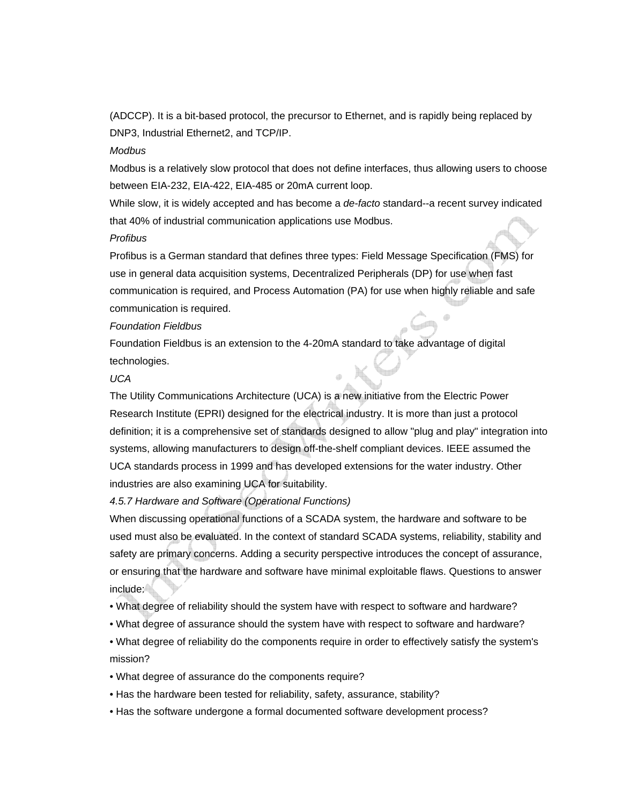(ADCCP). It is a bit-based protocol, the precursor to Ethernet, and is rapidly being replaced by DNP3, Industrial Ethernet2, and TCP/IP.

### *Modbus*

Modbus is a relatively slow protocol that does not define interfaces, thus allowing users to choose between EIA-232, EIA-422, EIA-485 or 20mA current loop.

While slow, it is widely accepted and has become a *de-facto* standard--a recent survey indicated that 40% of industrial communication applications use Modbus.

### *Profibus*

Profibus is a German standard that defines three types: Field Message Specification (FMS) for use in general data acquisition systems, Decentralized Peripherals (DP) for use when fast communication is required, and Process Automation (PA) for use when highly reliable and safe communication is required.

### *Foundation Fieldbus*

Foundation Fieldbus is an extension to the 4-20mA standard to take advantage of digital technologies.

### *UCA*

The Utility Communications Architecture (UCA) is a new initiative from the Electric Power Research Institute (EPRI) designed for the electrical industry. It is more than just a protocol definition; it is a comprehensive set of standards designed to allow "plug and play" integration into systems, allowing manufacturers to design off-the-shelf compliant devices. IEEE assumed the UCA standards process in 1999 and has developed extensions for the water industry. Other industries are also examining UCA for suitability.

### *4.5.7 Hardware and Software (Operational Functions)*

When discussing operational functions of a SCADA system, the hardware and software to be used must also be evaluated. In the context of standard SCADA systems, reliability, stability and safety are primary concerns. Adding a security perspective introduces the concept of assurance, or ensuring that the hardware and software have minimal exploitable flaws. Questions to answer include:

- What degree of reliability should the system have with respect to software and hardware?
- What degree of assurance should the system have with respect to software and hardware?

• What degree of reliability do the components require in order to effectively satisfy the system's mission?

- What degree of assurance do the components require?
- Has the hardware been tested for reliability, safety, assurance, stability?
- Has the software undergone a formal documented software development process?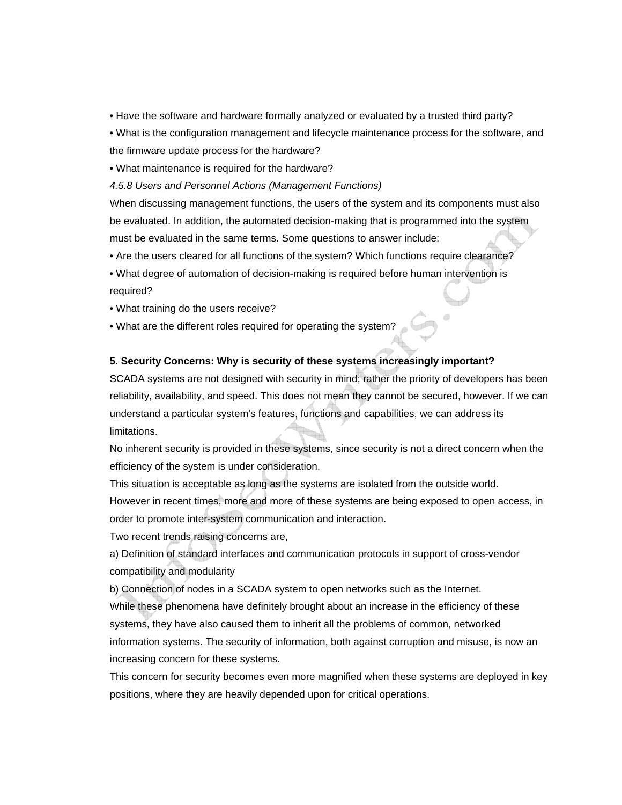- Have the software and hardware formally analyzed or evaluated by a trusted third party?
- What is the configuration management and lifecycle maintenance process for the software, and the firmware update process for the hardware?
- What maintenance is required for the hardware?
- *4.5.8 Users and Personnel Actions (Management Functions)*

When discussing management functions, the users of the system and its components must also be evaluated. In addition, the automated decision-making that is programmed into the system must be evaluated in the same terms. Some questions to answer include:

• Are the users cleared for all functions of the system? Which functions require clearance?

• What degree of automation of decision-making is required before human intervention is required?

- What training do the users receive?
- What are the different roles required for operating the system?

### **5. Security Concerns: Why is security of these systems increasingly important?**

SCADA systems are not designed with security in mind; rather the priority of developers has been reliability, availability, and speed. This does not mean they cannot be secured, however. If we can understand a particular system's features, functions and capabilities, we can address its limitations.

No inherent security is provided in these systems, since security is not a direct concern when the efficiency of the system is under consideration.

This situation is acceptable as long as the systems are isolated from the outside world.

However in recent times, more and more of these systems are being exposed to open access, in order to promote inter-system communication and interaction.

Two recent trends raising concerns are,

a) Definition of standard interfaces and communication protocols in support of cross-vendor compatibility and modularity

b) Connection of nodes in a SCADA system to open networks such as the Internet.

While these phenomena have definitely brought about an increase in the efficiency of these systems, they have also caused them to inherit all the problems of common, networked information systems. The security of information, both against corruption and misuse, is now an increasing concern for these systems.

This concern for security becomes even more magnified when these systems are deployed in key positions, where they are heavily depended upon for critical operations.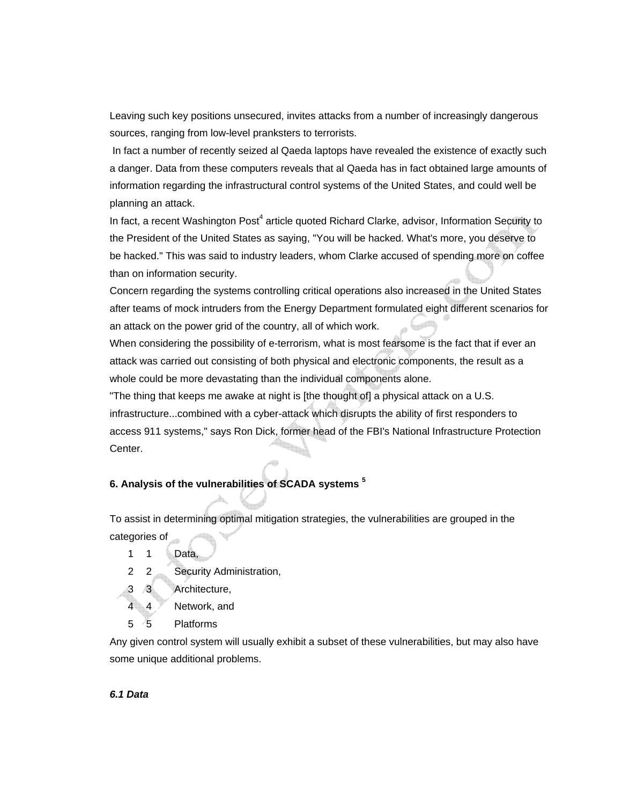Leaving such key positions unsecured, invites attacks from a number of increasingly dangerous sources, ranging from low-level pranksters to terrorists.

 In fact a number of recently seized al Qaeda laptops have revealed the existence of exactly such a danger. Data from these computers reveals that al Qaeda has in fact obtained large amounts of information regarding the infrastructural control systems of the United States, and could well be planning an attack.

In fact, a recent Washington Post<sup>4</sup> article quoted Richard Clarke, advisor, Information Security to the President of the United States as saying, "You will be hacked. What's more, you deserve to be hacked." This was said to industry leaders, whom Clarke accused of spending more on coffee than on information security.

Concern regarding the systems controlling critical operations also increased in the United States after teams of mock intruders from the Energy Department formulated eight different scenarios for an attack on the power grid of the country, all of which work.

When considering the possibility of e-terrorism, what is most fearsome is the fact that if ever an attack was carried out consisting of both physical and electronic components, the result as a whole could be more devastating than the individual components alone.

"The thing that keeps me awake at night is [the thought of] a physical attack on a U.S. infrastructure...combined with a cyber-attack which disrupts the ability of first responders to access 911 systems," says Ron Dick, former head of the FBI's National Infrastructure Protection المعا Center.

# **6. Analysis of the vulnerabilities of SCADA systems 5**

To assist in determining optimal mitigation strategies, the vulnerabilities are grouped in the categories of

- 1 1 Data,
- 2 2 Security Administration,
- 3 3 Architecture,
- 4 4 Network, and
- 5 5 Platforms

Any given control system will usually exhibit a subset of these vulnerabilities, but may also have some unique additional problems.

# *6.1 Data*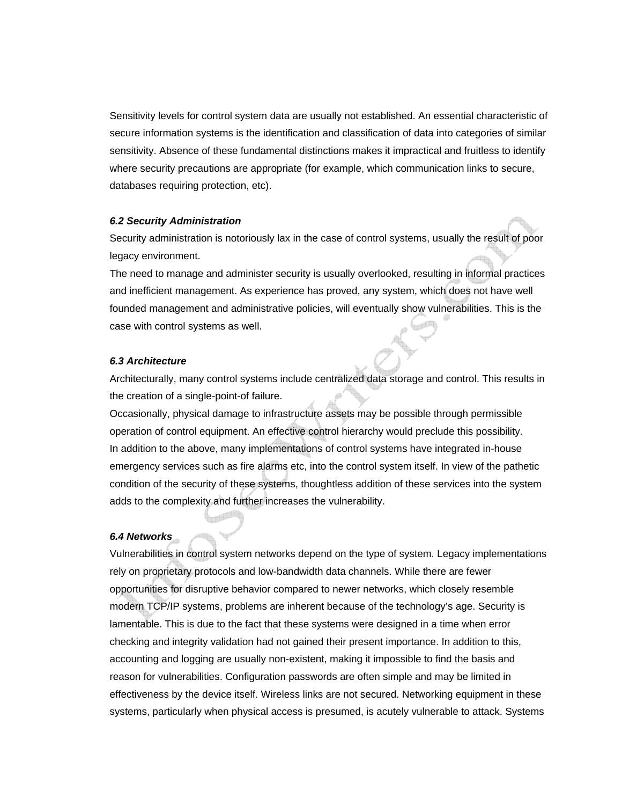Sensitivity levels for control system data are usually not established. An essential characteristic of secure information systems is the identification and classification of data into categories of similar sensitivity. Absence of these fundamental distinctions makes it impractical and fruitless to identify where security precautions are appropriate (for example, which communication links to secure, databases requiring protection, etc).

### *6.2 Security Administration*

Security administration is notoriously lax in the case of control systems, usually the result of poor legacy environment.

The need to manage and administer security is usually overlooked, resulting in informal practices and inefficient management. As experience has proved, any system, which does not have well founded management and administrative policies, will eventually show vulnerabilities. This is the case with control systems as well.

### *6.3 Architecture*

Architecturally, many control systems include centralized data storage and control. This results in the creation of a single-point-of failure.

Occasionally, physical damage to infrastructure assets may be possible through permissible operation of control equipment. An effective control hierarchy would preclude this possibility. In addition to the above, many implementations of control systems have integrated in-house emergency services such as fire alarms etc, into the control system itself. In view of the pathetic condition of the security of these systems, thoughtless addition of these services into the system adds to the complexity and further increases the vulnerability.

# *6.4 Networks*

Vulnerabilities in control system networks depend on the type of system. Legacy implementations rely on proprietary protocols and low-bandwidth data channels. While there are fewer opportunities for disruptive behavior compared to newer networks, which closely resemble modern TCP/IP systems, problems are inherent because of the technology's age. Security is lamentable. This is due to the fact that these systems were designed in a time when error checking and integrity validation had not gained their present importance. In addition to this, accounting and logging are usually non-existent, making it impossible to find the basis and reason for vulnerabilities. Configuration passwords are often simple and may be limited in effectiveness by the device itself. Wireless links are not secured. Networking equipment in these systems, particularly when physical access is presumed, is acutely vulnerable to attack. Systems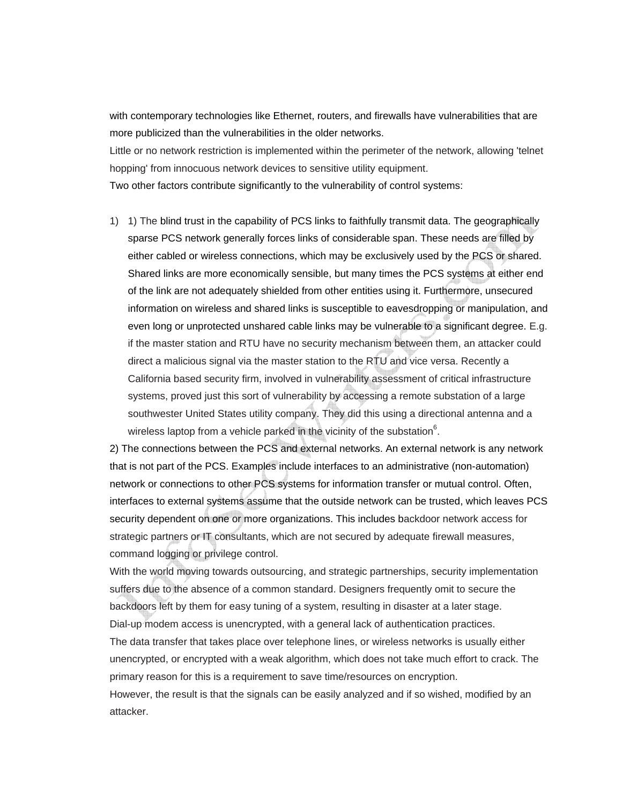with contemporary technologies like Ethernet, routers, and firewalls have vulnerabilities that are more publicized than the vulnerabilities in the older networks.

Little or no network restriction is implemented within the perimeter of the network, allowing 'telnet hopping' from innocuous network devices to sensitive utility equipment.

Two other factors contribute significantly to the vulnerability of control systems:

1) 1) The blind trust in the capability of PCS links to faithfully transmit data. The geographically sparse PCS network generally forces links of considerable span. These needs are filled by either cabled or wireless connections, which may be exclusively used by the PCS or shared. Shared links are more economically sensible, but many times the PCS systems at either end of the link are not adequately shielded from other entities using it. Furthermore, unsecured information on wireless and shared links is susceptible to eavesdropping or manipulation, and even long or unprotected unshared cable links may be vulnerable to a significant degree. E.g. if the master station and RTU have no security mechanism between them, an attacker could direct a malicious signal via the master station to the RTU and vice versa. Recently a California based security firm, involved in vulnerability assessment of critical infrastructure systems, proved just this sort of vulnerability by accessing a remote substation of a large southwester United States utility company. They did this using a directional antenna and a wireless laptop from a vehicle parked in the vicinity of the substation<sup>6</sup>.

2) The connections between the PCS and external networks. An external network is any network that is not part of the PCS. Examples include interfaces to an administrative (non-automation) network or connections to other PCS systems for information transfer or mutual control. Often, interfaces to external systems assume that the outside network can be trusted, which leaves PCS security dependent on one or more organizations. This includes backdoor network access for strategic partners or IT consultants, which are not secured by adequate firewall measures, command logging or privilege control.

With the world moving towards outsourcing, and strategic partnerships, security implementation suffers due to the absence of a common standard. Designers frequently omit to secure the backdoors left by them for easy tuning of a system, resulting in disaster at a later stage. Dial-up modem access is unencrypted, with a general lack of authentication practices. The data transfer that takes place over telephone lines, or wireless networks is usually either unencrypted, or encrypted with a weak algorithm, which does not take much effort to crack. The primary reason for this is a requirement to save time/resources on encryption. However, the result is that the signals can be easily analyzed and if so wished, modified by an attacker.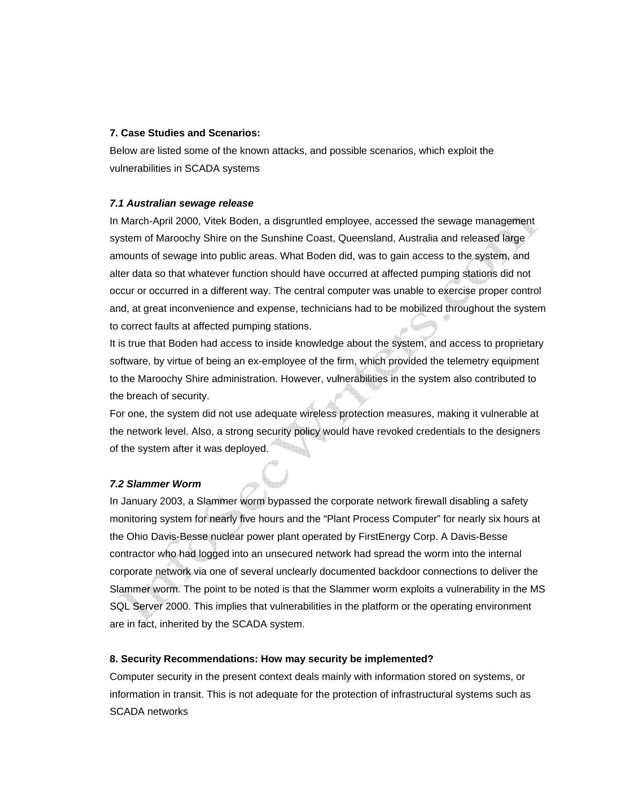### **7. Case Studies and Scenarios:**

Below are listed some of the known attacks, and possible scenarios, which exploit the vulnerabilities in SCADA systems

### *7.1 Australian sewage release*

In March-April 2000, Vitek Boden, a disgruntled employee, accessed the sewage management system of Maroochy Shire on the Sunshine Coast, Queensland, Australia and released large amounts of sewage into public areas. What Boden did, was to gain access to the system, and alter data so that whatever function should have occurred at affected pumping stations did not occur or occurred in a different way. The central computer was unable to exercise proper control and, at great inconvenience and expense, technicians had to be mobilized throughout the system to correct faults at affected pumping stations.

It is true that Boden had access to inside knowledge about the system, and access to proprietary software, by virtue of being an ex-employee of the firm, which provided the telemetry equipment to the Maroochy Shire administration. However, vulnerabilities in the system also contributed to the breach of security.

For one, the system did not use adequate wireless protection measures, making it vulnerable at the network level. Also, a strong security policy would have revoked credentials to the designers of the system after it was deployed.

### *7.2 Slammer Worm*

In January 2003, a Slammer worm bypassed the corporate network firewall disabling a safety monitoring system for nearly five hours and the "Plant Process Computer" for nearly six hours at the Ohio Davis-Besse nuclear power plant operated by FirstEnergy Corp. A Davis-Besse contractor who had logged into an unsecured network had spread the worm into the internal corporate network via one of several unclearly documented backdoor connections to deliver the Slammer worm. The point to be noted is that the Slammer worm exploits a vulnerability in the MS SQL Server 2000. This implies that vulnerabilities in the platform or the operating environment are in fact, inherited by the SCADA system.

#### **8. Security Recommendations: How may security be implemented?**

Computer security in the present context deals mainly with information stored on systems, or information in transit. This is not adequate for the protection of infrastructural systems such as SCADA networks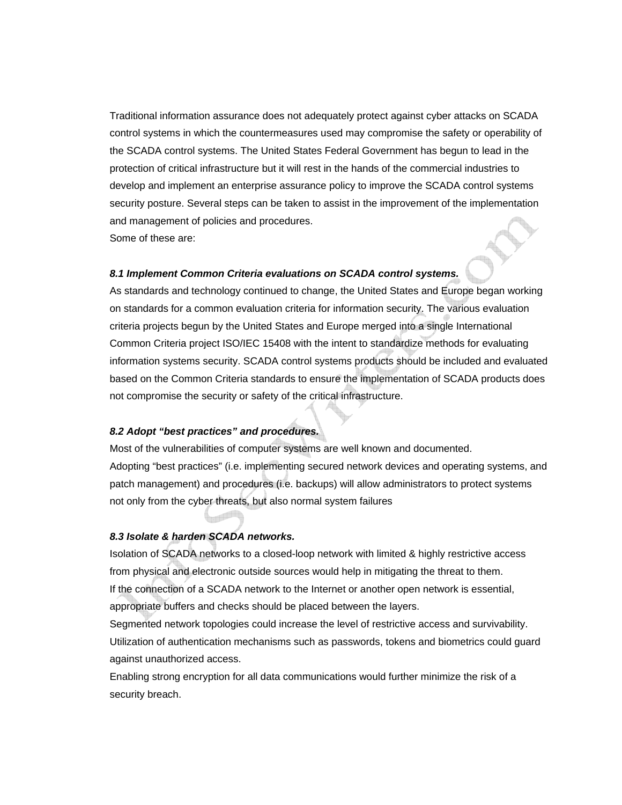Traditional information assurance does not adequately protect against cyber attacks on SCADA control systems in which the countermeasures used may compromise the safety or operability of the SCADA control systems. The United States Federal Government has begun to lead in the protection of critical infrastructure but it will rest in the hands of the commercial industries to develop and implement an enterprise assurance policy to improve the SCADA control systems security posture. Several steps can be taken to assist in the improvement of the implementation and management of policies and procedures.

Some of these are:

### *8.1 Implement Common Criteria evaluations on SCADA control systems.*

As standards and technology continued to change, the United States and Europe began working on standards for a common evaluation criteria for information security. The various evaluation criteria projects begun by the United States and Europe merged into a single International Common Criteria project ISO/IEC 15408 with the intent to standardize methods for evaluating information systems security. SCADA control systems products should be included and evaluated based on the Common Criteria standards to ensure the implementation of SCADA products does not compromise the security or safety of the critical infrastructure.

### *8.2 Adopt "best practices" and procedures.*

Most of the vulnerabilities of computer systems are well known and documented. Adopting "best practices" (i.e. implementing secured network devices and operating systems, and patch management) and procedures (i.e. backups) will allow administrators to protect systems not only from the cyber threats, but also normal system failures

### *8.3 Isolate & harden SCADA networks.*

Isolation of SCADA networks to a closed-loop network with limited & highly restrictive access from physical and electronic outside sources would help in mitigating the threat to them. If the connection of a SCADA network to the Internet or another open network is essential, appropriate buffers and checks should be placed between the layers.

Segmented network topologies could increase the level of restrictive access and survivability. Utilization of authentication mechanisms such as passwords, tokens and biometrics could guard against unauthorized access.

Enabling strong encryption for all data communications would further minimize the risk of a security breach.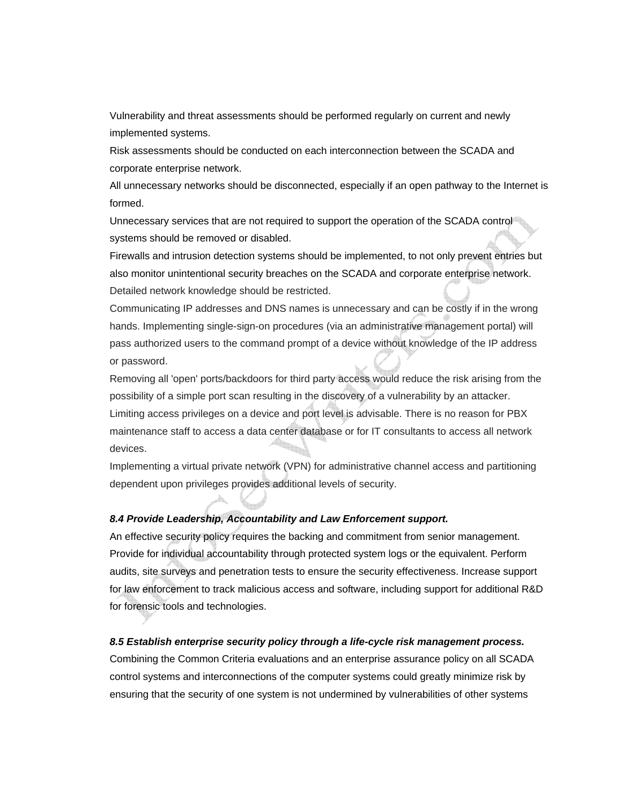Vulnerability and threat assessments should be performed regularly on current and newly implemented systems.

Risk assessments should be conducted on each interconnection between the SCADA and corporate enterprise network.

All unnecessary networks should be disconnected, especially if an open pathway to the Internet is formed.

Unnecessary services that are not required to support the operation of the SCADA control systems should be removed or disabled.

Firewalls and intrusion detection systems should be implemented, to not only prevent entries but also monitor unintentional security breaches on the SCADA and corporate enterprise network. Detailed network knowledge should be restricted.

Communicating IP addresses and DNS names is unnecessary and can be costly if in the wrong hands. Implementing single-sign-on procedures (via an administrative management portal) will pass authorized users to the command prompt of a device without knowledge of the IP address or password.

Removing all 'open' ports/backdoors for third party access would reduce the risk arising from the possibility of a simple port scan resulting in the discovery of a vulnerability by an attacker. Limiting access privileges on a device and port level is advisable. There is no reason for PBX maintenance staff to access a data center database or for IT consultants to access all network devices.

Implementing a virtual private network (VPN) for administrative channel access and partitioning dependent upon privileges provides additional levels of security.

### *8.4 Provide Leadership, Accountability and Law Enforcement support.*

An effective security policy requires the backing and commitment from senior management. Provide for individual accountability through protected system logs or the equivalent. Perform audits, site surveys and penetration tests to ensure the security effectiveness. Increase support for law enforcement to track malicious access and software, including support for additional R&D for forensic tools and technologies.

### *8.5 Establish enterprise security policy through a life-cycle risk management process.*

Combining the Common Criteria evaluations and an enterprise assurance policy on all SCADA control systems and interconnections of the computer systems could greatly minimize risk by ensuring that the security of one system is not undermined by vulnerabilities of other systems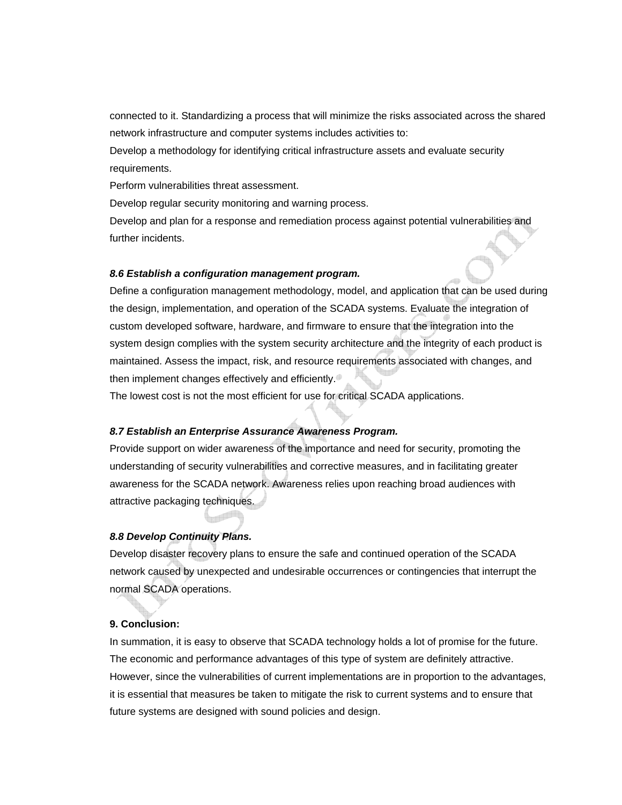connected to it. Standardizing a process that will minimize the risks associated across the shared network infrastructure and computer systems includes activities to:

Develop a methodology for identifying critical infrastructure assets and evaluate security requirements.

Perform vulnerabilities threat assessment.

Develop regular security monitoring and warning process.

Develop and plan for a response and remediation process against potential vulnerabilities and further incidents.

### *8.6 Establish a configuration management program.*

Define a configuration management methodology, model, and application that can be used during the design, implementation, and operation of the SCADA systems. Evaluate the integration of custom developed software, hardware, and firmware to ensure that the integration into the system design complies with the system security architecture and the integrity of each product is maintained. Assess the impact, risk, and resource requirements associated with changes, and then implement changes effectively and efficiently.

The lowest cost is not the most efficient for use for critical SCADA applications.

### *8.7 Establish an Enterprise Assurance Awareness Program.*

Provide support on wider awareness of the importance and need for security, promoting the understanding of security vulnerabilities and corrective measures, and in facilitating greater awareness for the SCADA network. Awareness relies upon reaching broad audiences with attractive packaging techniques.

# *8.8 Develop Continuity Plans.*

Develop disaster recovery plans to ensure the safe and continued operation of the SCADA network caused by unexpected and undesirable occurrences or contingencies that interrupt the normal SCADA operations.

### **9. Conclusion:**

In summation, it is easy to observe that SCADA technology holds a lot of promise for the future. The economic and performance advantages of this type of system are definitely attractive. However, since the vulnerabilities of current implementations are in proportion to the advantages, it is essential that measures be taken to mitigate the risk to current systems and to ensure that future systems are designed with sound policies and design.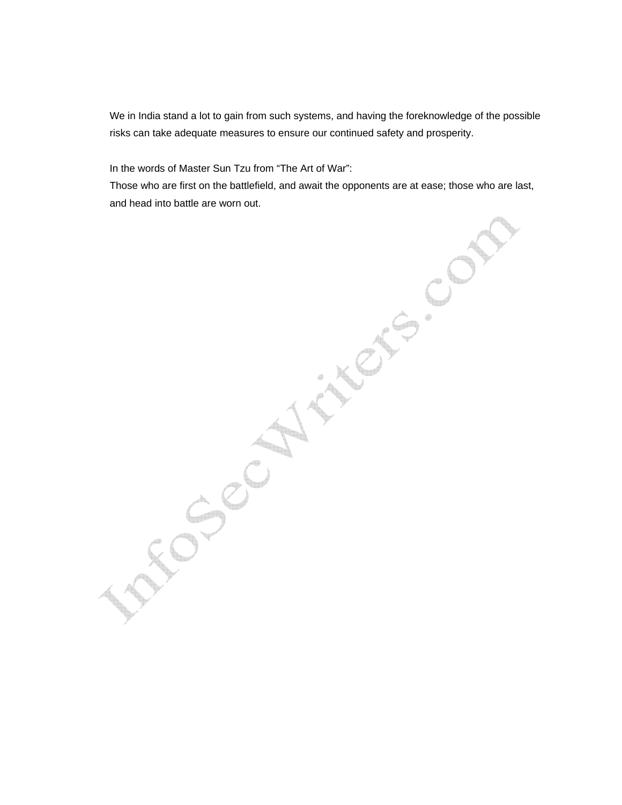We in India stand a lot to gain from such systems, and having the foreknowledge of the possible risks can take adequate measures to ensure our continued safety and prosperity.

In the words of Master Sun Tzu from "The Art of War":

Those who are first on the battlefield, and await the opponents are at ease; those who are last, and head into battle are worn out.

ARY OF June 1906 CONS